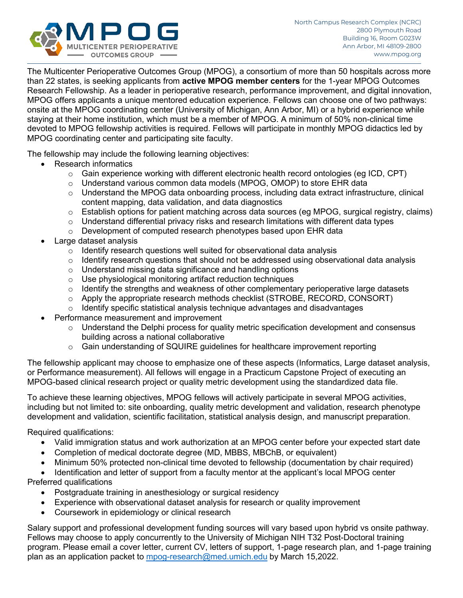

The Multicenter Perioperative Outcomes Group (MPOG), a consortium of more than 50 hospitals across more than 22 states, is seeking applicants from **active MPOG member centers** for the 1-year MPOG Outcomes Research Fellowship. As a leader in perioperative research, performance improvement, and digital innovation, MPOG offers applicants a unique mentored education experience. Fellows can choose one of two pathways: onsite at the MPOG coordinating center (University of Michigan, Ann Arbor, MI) or a hybrid experience while staying at their home institution, which must be a member of MPOG. A minimum of 50% non-clinical time devoted to MPOG fellowship activities is required. Fellows will participate in monthly MPOG didactics led by MPOG coordinating center and participating site faculty.

The fellowship may include the following learning objectives:

- Research informatics
	- $\circ$  Gain experience working with different electronic health record ontologies (eg ICD, CPT)
	- $\circ$  Understand various common data models (MPOG, OMOP) to store EHR data
	- $\circ$  Understand the MPOG data onboarding process, including data extract infrastructure, clinical content mapping, data validation, and data diagnostics
	- $\circ$  Establish options for patient matching across data sources (eg MPOG, surgical registry, claims)
	- $\circ$  Understand differential privacy risks and research limitations with different data types
	- o Development of computed research phenotypes based upon EHR data
- Large dataset analysis
	- $\circ$  Identify research questions well suited for observational data analysis
	- $\circ$  Identify research questions that should not be addressed using observational data analysis
	- o Understand missing data significance and handling options
	- o Use physiological monitoring artifact reduction techniques
	- $\circ$  Identify the strengths and weakness of other complementary perioperative large datasets
	- $\circ$  Apply the appropriate research methods checklist (STROBE, RECORD, CONSORT)
	- $\circ$  Identify specific statistical analysis technique advantages and disadvantages
- Performance measurement and improvement
	- $\circ$  Understand the Delphi process for quality metric specification development and consensus building across a national collaborative
	- $\circ$  Gain understanding of SQUIRE guidelines for healthcare improvement reporting

The fellowship applicant may choose to emphasize one of these aspects (Informatics, Large dataset analysis, or Performance measurement). All fellows will engage in a Practicum Capstone Project of executing an MPOG-based clinical research project or quality metric development using the standardized data file.

To achieve these learning objectives, MPOG fellows will actively participate in several MPOG activities, including but not limited to: site onboarding, quality metric development and validation, research phenotype development and validation, scientific facilitation, statistical analysis design, and manuscript preparation.

Required qualifications:

- Valid immigration status and work authorization at an MPOG center before your expected start date
- Completion of medical doctorate degree (MD, MBBS, MBChB, or equivalent)
- Minimum 50% protected non-clinical time devoted to fellowship (documentation by chair required)
- Identification and letter of support from a faculty mentor at the applicant's local MPOG center

Preferred qualifications

- Postgraduate training in anesthesiology or surgical residency
- Experience with observational dataset analysis for research or quality improvement
- Coursework in epidemiology or clinical research

Salary support and professional development funding sources will vary based upon hybrid vs onsite pathway. Fellows may choose to apply concurrently to the University of Michigan NIH T32 Post-Doctoral training program. Please email a cover letter, current CV, letters of support, 1-page research plan, and 1-page training plan as an application packet to [mpog-research@med.umich.edu](mailto:mpog-research@med.umich.edu) by March 15,2022.